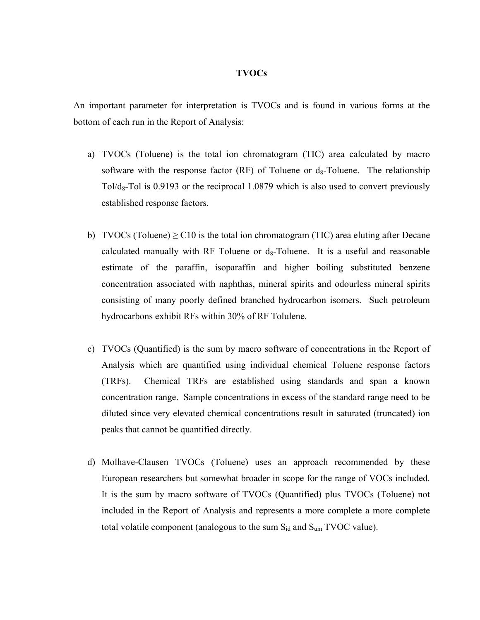## **TVOCs**

An important parameter for interpretation is TVOCs and is found in various forms at the bottom of each run in the Report of Analysis:

- a) TVOCs (Toluene) is the total ion chromatogram (TIC) area calculated by macro software with the response factor (RF) of Toluene or  $d_8$ -Toluene. The relationship Tol/ $d_8$ -Tol is 0.9193 or the reciprocal 1.0879 which is also used to convert previously established response factors.
- b) TVOCs (Toluene)  $\geq$  C10 is the total ion chromatogram (TIC) area eluting after Decane calculated manually with RF Toluene or  $d_8$ -Toluene. It is a useful and reasonable estimate of the paraffin, isoparaffin and higher boiling substituted benzene concentration associated with naphthas, mineral spirits and odourless mineral spirits consisting of many poorly defined branched hydrocarbon isomers. Such petroleum hydrocarbons exhibit RFs within 30% of RF Tolulene.
- c) TVOCs (Quantified) is the sum by macro software of concentrations in the Report of Analysis which are quantified using individual chemical Toluene response factors (TRFs). Chemical TRFs are established using standards and span a known concentration range. Sample concentrations in excess of the standard range need to be diluted since very elevated chemical concentrations result in saturated (truncated) ion peaks that cannot be quantified directly.
- d) Molhave-Clausen TVOCs (Toluene) uses an approach recommended by these European researchers but somewhat broader in scope for the range of VOCs included. It is the sum by macro software of TVOCs (Quantified) plus TVOCs (Toluene) not included in the Report of Analysis and represents a more complete a more complete total volatile component (analogous to the sum  $S_{id}$  and  $S_{um}$  TVOC value).